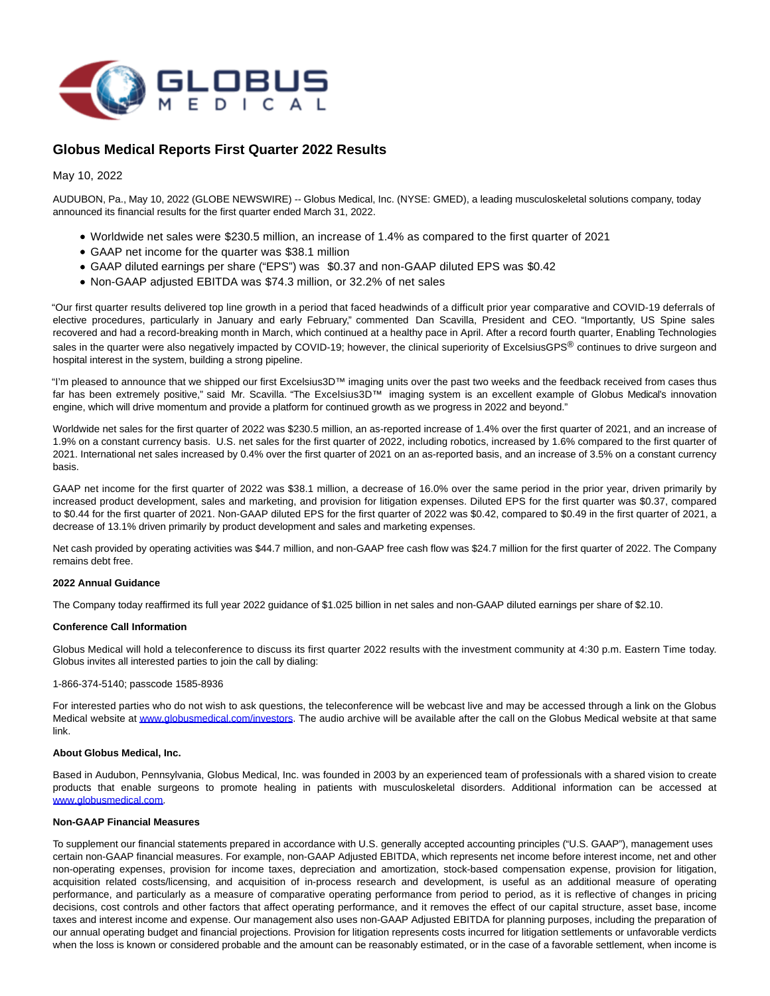

# **Globus Medical Reports First Quarter 2022 Results**

May 10, 2022

AUDUBON, Pa., May 10, 2022 (GLOBE NEWSWIRE) -- Globus Medical, Inc. (NYSE: GMED), a leading musculoskeletal solutions company, today announced its financial results for the first quarter ended March 31, 2022.

- Worldwide net sales were \$230.5 million, an increase of 1.4% as compared to the first quarter of 2021
- GAAP net income for the quarter was \$38.1 million
- GAAP diluted earnings per share ("EPS") was \$0.37 and non-GAAP diluted EPS was \$0.42
- Non-GAAP adjusted EBITDA was \$74.3 million, or 32.2% of net sales

"Our first quarter results delivered top line growth in a period that faced headwinds of a difficult prior year comparative and COVID-19 deferrals of elective procedures, particularly in January and early February," commented Dan Scavilla, President and CEO. "Importantly, US Spine sales recovered and had a record-breaking month in March, which continued at a healthy pace in April. After a record fourth quarter, Enabling Technologies sales in the quarter were also negatively impacted by COVID-19; however, the clinical superiority of ExcelsiusGPS® continues to drive surgeon and hospital interest in the system, building a strong pipeline.

"I'm pleased to announce that we shipped our first Excelsius3D™ imaging units over the past two weeks and the feedback received from cases thus far has been extremely positive," said Mr. Scavilla. "The Excelsius3D™ imaging system is an excellent example of Globus Medical's innovation engine, which will drive momentum and provide a platform for continued growth as we progress in 2022 and beyond."

Worldwide net sales for the first quarter of 2022 was \$230.5 million, an as-reported increase of 1.4% over the first quarter of 2021, and an increase of 1.9% on a constant currency basis. U.S. net sales for the first quarter of 2022, including robotics, increased by 1.6% compared to the first quarter of 2021. International net sales increased by 0.4% over the first quarter of 2021 on an as-reported basis, and an increase of 3.5% on a constant currency basis.

GAAP net income for the first quarter of 2022 was \$38.1 million, a decrease of 16.0% over the same period in the prior year, driven primarily by increased product development, sales and marketing, and provision for litigation expenses. Diluted EPS for the first quarter was \$0.37, compared to \$0.44 for the first quarter of 2021. Non-GAAP diluted EPS for the first quarter of 2022 was \$0.42, compared to \$0.49 in the first quarter of 2021, a decrease of 13.1% driven primarily by product development and sales and marketing expenses.

Net cash provided by operating activities was \$44.7 million, and non-GAAP free cash flow was \$24.7 million for the first quarter of 2022. The Company remains debt free.

### **2022 Annual Guidance**

The Company today reaffirmed its full year 2022 guidance of \$1.025 billion in net sales and non-GAAP diluted earnings per share of \$2.10.

### **Conference Call Information**

Globus Medical will hold a teleconference to discuss its first quarter 2022 results with the investment community at 4:30 p.m. Eastern Time today. Globus invites all interested parties to join the call by dialing:

#### 1-866-374-5140; passcode 1585-8936

For interested parties who do not wish to ask questions, the teleconference will be webcast live and may be accessed through a link on the Globus Medical website at [www.globusmedical.com/investors.](https://www.globenewswire.com/Tracker?data=ljrbj8Kx7Ozibns3_FBqrUhH20kZd9c71AomLNgZcRYCM4cu5K-OFgMQxq77uPyTCf_4LouzHB7Rqfz25WrNIqyEEww5miZ_Xw9B2m7GlJ4AFvfLSP5GUIlh58VH_0I7) The audio archive will be available after the call on the Globus Medical website at that same link.

### **About Globus Medical, Inc.**

Based in Audubon, Pennsylvania, Globus Medical, Inc. was founded in 2003 by an experienced team of professionals with a shared vision to create products that enable surgeons to promote healing in patients with musculoskeletal disorders. Additional information can be accessed at [www.globusmedical.com.](https://www.globenewswire.com/Tracker?data=ljrbj8Kx7Ozibns3_FBqrcFRWvXQfCdF8-BNROxGe6rjnKVAQWfDVcR7_jK83PglpEFWaR7gHfJmBgdCBxGj4jh7_MMe7GZLNXnFmw802tU=)

### **Non-GAAP Financial Measures**

To supplement our financial statements prepared in accordance with U.S. generally accepted accounting principles ("U.S. GAAP"), management uses certain non-GAAP financial measures. For example, non-GAAP Adjusted EBITDA, which represents net income before interest income, net and other non-operating expenses, provision for income taxes, depreciation and amortization, stock-based compensation expense, provision for litigation, acquisition related costs/licensing, and acquisition of in-process research and development, is useful as an additional measure of operating performance, and particularly as a measure of comparative operating performance from period to period, as it is reflective of changes in pricing decisions, cost controls and other factors that affect operating performance, and it removes the effect of our capital structure, asset base, income taxes and interest income and expense. Our management also uses non-GAAP Adjusted EBITDA for planning purposes, including the preparation of our annual operating budget and financial projections. Provision for litigation represents costs incurred for litigation settlements or unfavorable verdicts when the loss is known or considered probable and the amount can be reasonably estimated, or in the case of a favorable settlement, when income is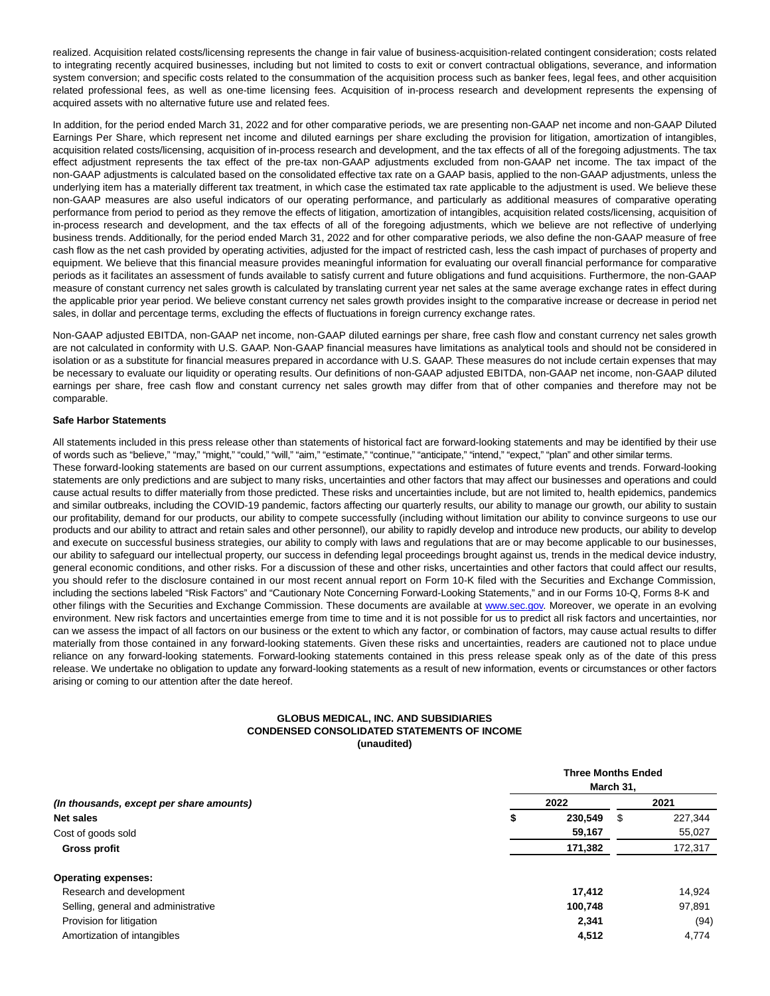realized. Acquisition related costs/licensing represents the change in fair value of business-acquisition-related contingent consideration; costs related to integrating recently acquired businesses, including but not limited to costs to exit or convert contractual obligations, severance, and information system conversion; and specific costs related to the consummation of the acquisition process such as banker fees, legal fees, and other acquisition related professional fees, as well as one-time licensing fees. Acquisition of in-process research and development represents the expensing of acquired assets with no alternative future use and related fees.

In addition, for the period ended March 31, 2022 and for other comparative periods, we are presenting non-GAAP net income and non-GAAP Diluted Earnings Per Share, which represent net income and diluted earnings per share excluding the provision for litigation, amortization of intangibles, acquisition related costs/licensing, acquisition of in-process research and development, and the tax effects of all of the foregoing adjustments. The tax effect adjustment represents the tax effect of the pre-tax non-GAAP adjustments excluded from non-GAAP net income. The tax impact of the non-GAAP adjustments is calculated based on the consolidated effective tax rate on a GAAP basis, applied to the non-GAAP adjustments, unless the underlying item has a materially different tax treatment, in which case the estimated tax rate applicable to the adjustment is used. We believe these non-GAAP measures are also useful indicators of our operating performance, and particularly as additional measures of comparative operating performance from period to period as they remove the effects of litigation, amortization of intangibles, acquisition related costs/licensing, acquisition of in-process research and development, and the tax effects of all of the foregoing adjustments, which we believe are not reflective of underlying business trends. Additionally, for the period ended March 31, 2022 and for other comparative periods, we also define the non-GAAP measure of free cash flow as the net cash provided by operating activities, adjusted for the impact of restricted cash, less the cash impact of purchases of property and equipment. We believe that this financial measure provides meaningful information for evaluating our overall financial performance for comparative periods as it facilitates an assessment of funds available to satisfy current and future obligations and fund acquisitions. Furthermore, the non-GAAP measure of constant currency net sales growth is calculated by translating current year net sales at the same average exchange rates in effect during the applicable prior year period. We believe constant currency net sales growth provides insight to the comparative increase or decrease in period net sales, in dollar and percentage terms, excluding the effects of fluctuations in foreign currency exchange rates.

Non-GAAP adjusted EBITDA, non-GAAP net income, non-GAAP diluted earnings per share, free cash flow and constant currency net sales growth are not calculated in conformity with U.S. GAAP. Non-GAAP financial measures have limitations as analytical tools and should not be considered in isolation or as a substitute for financial measures prepared in accordance with U.S. GAAP. These measures do not include certain expenses that may be necessary to evaluate our liquidity or operating results. Our definitions of non-GAAP adjusted EBITDA, non-GAAP net income, non-GAAP diluted earnings per share, free cash flow and constant currency net sales growth may differ from that of other companies and therefore may not be comparable.

### **Safe Harbor Statements**

All statements included in this press release other than statements of historical fact are forward-looking statements and may be identified by their use of words such as "believe," "may," "might," "could," "will," "aim," "estimate," "continue," "anticipate," "intend," "expect," "plan" and other similar terms. These forward-looking statements are based on our current assumptions, expectations and estimates of future events and trends. Forward-looking statements are only predictions and are subject to many risks, uncertainties and other factors that may affect our businesses and operations and could cause actual results to differ materially from those predicted. These risks and uncertainties include, but are not limited to, health epidemics, pandemics and similar outbreaks, including the COVID-19 pandemic, factors affecting our quarterly results, our ability to manage our growth, our ability to sustain our profitability, demand for our products, our ability to compete successfully (including without limitation our ability to convince surgeons to use our products and our ability to attract and retain sales and other personnel), our ability to rapidly develop and introduce new products, our ability to develop and execute on successful business strategies, our ability to comply with laws and regulations that are or may become applicable to our businesses, our ability to safeguard our intellectual property, our success in defending legal proceedings brought against us, trends in the medical device industry, general economic conditions, and other risks. For a discussion of these and other risks, uncertainties and other factors that could affect our results, you should refer to the disclosure contained in our most recent annual report on Form 10-K filed with the Securities and Exchange Commission, including the sections labeled "Risk Factors" and "Cautionary Note Concerning Forward-Looking Statements," and in our Forms 10-Q, Forms 8-K and other filings with the Securities and Exchange Commission. These documents are available at [www.sec.gov.](http://www.sec.gov/) Moreover, we operate in an evolving environment. New risk factors and uncertainties emerge from time to time and it is not possible for us to predict all risk factors and uncertainties, nor can we assess the impact of all factors on our business or the extent to which any factor, or combination of factors, may cause actual results to differ materially from those contained in any forward-looking statements. Given these risks and uncertainties, readers are cautioned not to place undue reliance on any forward-looking statements. Forward-looking statements contained in this press release speak only as of the date of this press release. We undertake no obligation to update any forward-looking statements as a result of new information, events or circumstances or other factors arising or coming to our attention after the date hereof.

### **GLOBUS MEDICAL, INC. AND SUBSIDIARIES CONDENSED CONSOLIDATED STATEMENTS OF INCOME (unaudited)**

|                                          | <b>Three Months Ended</b> |               |         |  |  |
|------------------------------------------|---------------------------|---------------|---------|--|--|
|                                          |                           | March 31,     |         |  |  |
| (In thousands, except per share amounts) | 2022                      |               | 2021    |  |  |
| <b>Net sales</b>                         | \$                        | 230,549<br>\$ | 227,344 |  |  |
| Cost of goods sold                       |                           | 59,167        | 55,027  |  |  |
| Gross profit                             |                           | 171,382       | 172,317 |  |  |
| <b>Operating expenses:</b>               |                           |               |         |  |  |
| Research and development                 |                           | 17,412        | 14,924  |  |  |
| Selling, general and administrative      |                           | 100,748       | 97,891  |  |  |
| Provision for litigation                 |                           | 2,341         | (94)    |  |  |
| Amortization of intangibles              |                           | 4,512         | 4,774   |  |  |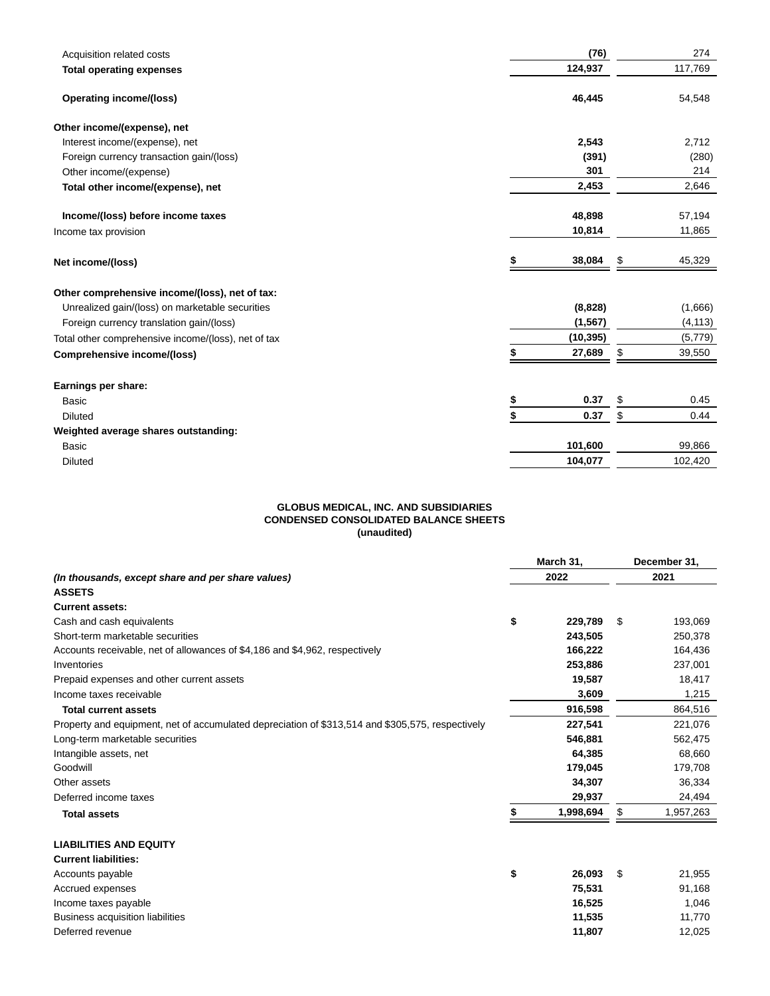| Acquisition related costs                           | (76)       | 274          |
|-----------------------------------------------------|------------|--------------|
| <b>Total operating expenses</b>                     | 124,937    | 117,769      |
| <b>Operating income/(loss)</b>                      | 46,445     | 54,548       |
| Other income/(expense), net                         |            |              |
| Interest income/(expense), net                      | 2,543      | 2,712        |
| Foreign currency transaction gain/(loss)            | (391)      | (280)        |
| Other income/(expense)                              | 301        | 214          |
| Total other income/(expense), net                   | 2,453      | 2,646        |
| Income/(loss) before income taxes                   | 48,898     | 57,194       |
| Income tax provision                                | 10,814     | 11,865       |
| Net income/(loss)                                   | 38,084     | \$<br>45,329 |
| Other comprehensive income/(loss), net of tax:      |            |              |
| Unrealized gain/(loss) on marketable securities     | (8,828)    | (1,666)      |
| Foreign currency translation gain/(loss)            | (1, 567)   | (4, 113)     |
| Total other comprehensive income/(loss), net of tax | (10,395)   | (5,779)      |
| <b>Comprehensive income/(loss)</b>                  | 27,689     | \$<br>39,550 |
| Earnings per share:                                 |            |              |
| Basic                                               | \$<br>0.37 | \$<br>0.45   |
| <b>Diluted</b>                                      | \$<br>0.37 | \$<br>0.44   |
| Weighted average shares outstanding:                |            |              |
| Basic                                               | 101,600    | 99,866       |
| <b>Diluted</b>                                      | 104,077    | 102,420      |
|                                                     |            |              |

#### **GLOBUS MEDICAL, INC. AND SUBSIDIARIES CONDENSED CONSOLIDATED BALANCE SHEETS (unaudited)**

|                                                                                                  | March 31,     | December 31,    |
|--------------------------------------------------------------------------------------------------|---------------|-----------------|
| (In thousands, except share and per share values)                                                | 2022          | 2021            |
| <b>ASSETS</b>                                                                                    |               |                 |
| <b>Current assets:</b>                                                                           |               |                 |
| Cash and cash equivalents                                                                        | \$<br>229,789 | \$<br>193,069   |
| Short-term marketable securities                                                                 | 243,505       | 250,378         |
| Accounts receivable, net of allowances of \$4,186 and \$4,962, respectively                      | 166,222       | 164,436         |
| Inventories                                                                                      | 253,886       | 237,001         |
| Prepaid expenses and other current assets                                                        | 19,587        | 18,417          |
| Income taxes receivable                                                                          | 3,609         | 1,215           |
| <b>Total current assets</b>                                                                      | 916,598       | 864,516         |
| Property and equipment, net of accumulated depreciation of \$313,514 and \$305,575, respectively | 227,541       | 221,076         |
| Long-term marketable securities                                                                  | 546,881       | 562,475         |
| Intangible assets, net                                                                           | 64,385        | 68,660          |
| Goodwill                                                                                         | 179,045       | 179,708         |
| Other assets                                                                                     | 34,307        | 36,334          |
| Deferred income taxes                                                                            | 29,937        | 24,494          |
| <b>Total assets</b>                                                                              | 1,998,694     | \$<br>1,957,263 |
| <b>LIABILITIES AND EQUITY</b>                                                                    |               |                 |
| <b>Current liabilities:</b>                                                                      |               |                 |
| Accounts payable                                                                                 | \$<br>26,093  | \$<br>21,955    |
| Accrued expenses                                                                                 | 75,531        | 91,168          |
| Income taxes payable                                                                             | 16,525        | 1,046           |
| <b>Business acquisition liabilities</b>                                                          | 11,535        | 11,770          |
| Deferred revenue                                                                                 | 11,807        | 12,025          |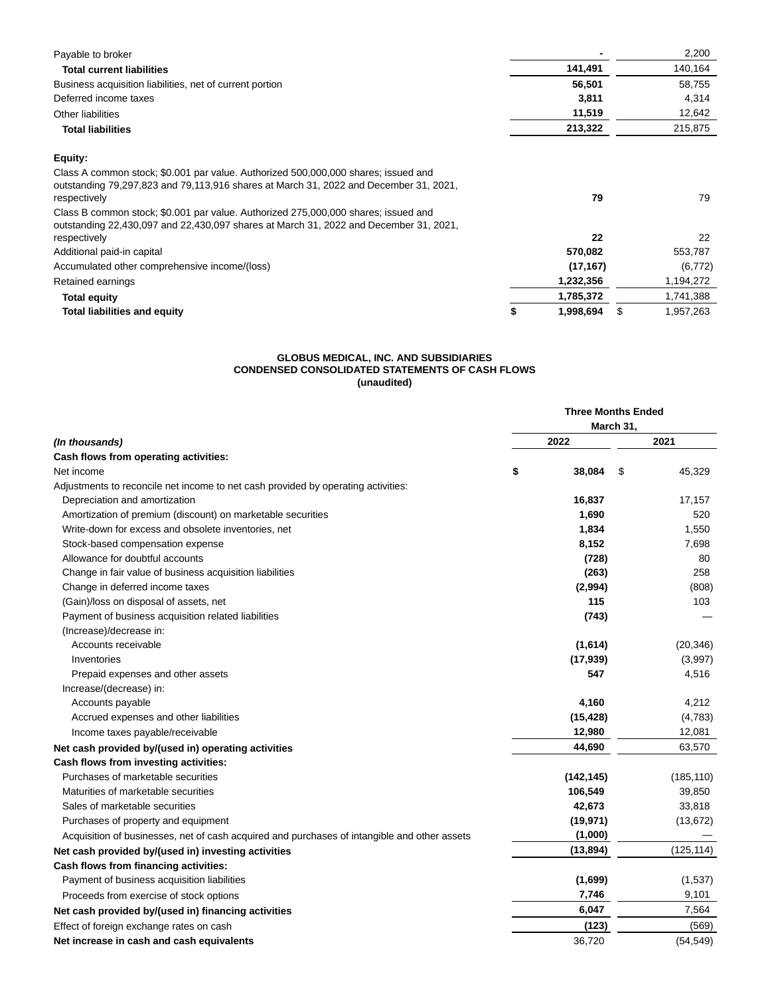| Payable to broker                                                                                                                                                           |           | 2,200           |
|-----------------------------------------------------------------------------------------------------------------------------------------------------------------------------|-----------|-----------------|
| <b>Total current liabilities</b>                                                                                                                                            | 141,491   | 140,164         |
| Business acquisition liabilities, net of current portion                                                                                                                    | 56,501    | 58,755          |
| Deferred income taxes                                                                                                                                                       | 3,811     | 4,314           |
| Other liabilities                                                                                                                                                           | 11,519    | 12,642          |
| <b>Total liabilities</b>                                                                                                                                                    | 213,322   | 215,875         |
| Equity:                                                                                                                                                                     |           |                 |
| Class A common stock; \$0.001 par value. Authorized 500,000,000 shares; issued and                                                                                          |           |                 |
| outstanding 79,297,823 and 79,113,916 shares at March 31, 2022 and December 31, 2021,<br>respectively                                                                       | 79        | 79              |
| Class B common stock; \$0.001 par value. Authorized 275,000,000 shares; issued and<br>outstanding 22,430,097 and 22,430,097 shares at March 31, 2022 and December 31, 2021, |           |                 |
| respectively                                                                                                                                                                | 22        | 22              |
| Additional paid-in capital                                                                                                                                                  | 570,082   | 553,787         |
| Accumulated other comprehensive income/(loss)                                                                                                                               | (17, 167) | (6, 772)        |
| Retained earnings                                                                                                                                                           | 1,232,356 | 1,194,272       |
| <b>Total equity</b>                                                                                                                                                         | 1,785,372 | 1,741,388       |
| <b>Total liabilities and equity</b>                                                                                                                                         | 1,998,694 | \$<br>1,957,263 |

#### **GLOBUS MEDICAL, INC. AND SUBSIDIARIES CONDENSED CONSOLIDATED STATEMENTS OF CASH FLOWS (unaudited)**

|                                                                                              | <b>Three Months Ended</b><br>March 31, |    |            |  |
|----------------------------------------------------------------------------------------------|----------------------------------------|----|------------|--|
| (In thousands)                                                                               | 2022                                   |    | 2021       |  |
| Cash flows from operating activities:                                                        |                                        |    |            |  |
| Net income                                                                                   | \$<br>38,084                           | \$ | 45,329     |  |
| Adjustments to reconcile net income to net cash provided by operating activities:            |                                        |    |            |  |
| Depreciation and amortization                                                                | 16,837                                 |    | 17,157     |  |
| Amortization of premium (discount) on marketable securities                                  | 1,690                                  |    | 520        |  |
| Write-down for excess and obsolete inventories, net                                          | 1,834                                  |    | 1,550      |  |
| Stock-based compensation expense                                                             | 8,152                                  |    | 7,698      |  |
| Allowance for doubtful accounts                                                              | (728)                                  |    | 80         |  |
| Change in fair value of business acquisition liabilities                                     | (263)                                  |    | 258        |  |
| Change in deferred income taxes                                                              | (2,994)                                |    | (808)      |  |
| (Gain)/loss on disposal of assets, net                                                       | 115                                    |    | 103        |  |
| Payment of business acquisition related liabilities                                          | (743)                                  |    |            |  |
| (Increase)/decrease in:                                                                      |                                        |    |            |  |
| Accounts receivable                                                                          | (1,614)                                |    | (20, 346)  |  |
| Inventories                                                                                  | (17, 939)                              |    | (3,997)    |  |
| Prepaid expenses and other assets                                                            | 547                                    |    | 4,516      |  |
| Increase/(decrease) in:                                                                      |                                        |    |            |  |
| Accounts payable                                                                             | 4,160                                  |    | 4,212      |  |
| Accrued expenses and other liabilities                                                       | (15, 428)                              |    | (4,783)    |  |
| Income taxes payable/receivable                                                              | 12,980                                 |    | 12,081     |  |
| Net cash provided by/(used in) operating activities                                          | 44,690                                 |    | 63,570     |  |
| Cash flows from investing activities:                                                        |                                        |    |            |  |
| Purchases of marketable securities                                                           | (142, 145)                             |    | (185, 110) |  |
| Maturities of marketable securities                                                          | 106,549                                |    | 39,850     |  |
| Sales of marketable securities                                                               | 42,673                                 |    | 33,818     |  |
| Purchases of property and equipment                                                          | (19, 971)                              |    | (13, 672)  |  |
| Acquisition of businesses, net of cash acquired and purchases of intangible and other assets | (1,000)                                |    |            |  |
| Net cash provided by/(used in) investing activities                                          | (13, 894)                              |    | (125, 114) |  |
| Cash flows from financing activities:                                                        |                                        |    |            |  |
| Payment of business acquisition liabilities                                                  | (1,699)                                |    | (1,537)    |  |
| Proceeds from exercise of stock options                                                      | 7,746                                  |    | 9,101      |  |
| Net cash provided by/(used in) financing activities                                          | 6,047                                  |    | 7,564      |  |
| Effect of foreign exchange rates on cash                                                     | (123)                                  |    | (569)      |  |
| Net increase in cash and cash equivalents                                                    | 36,720                                 |    | (54, 549)  |  |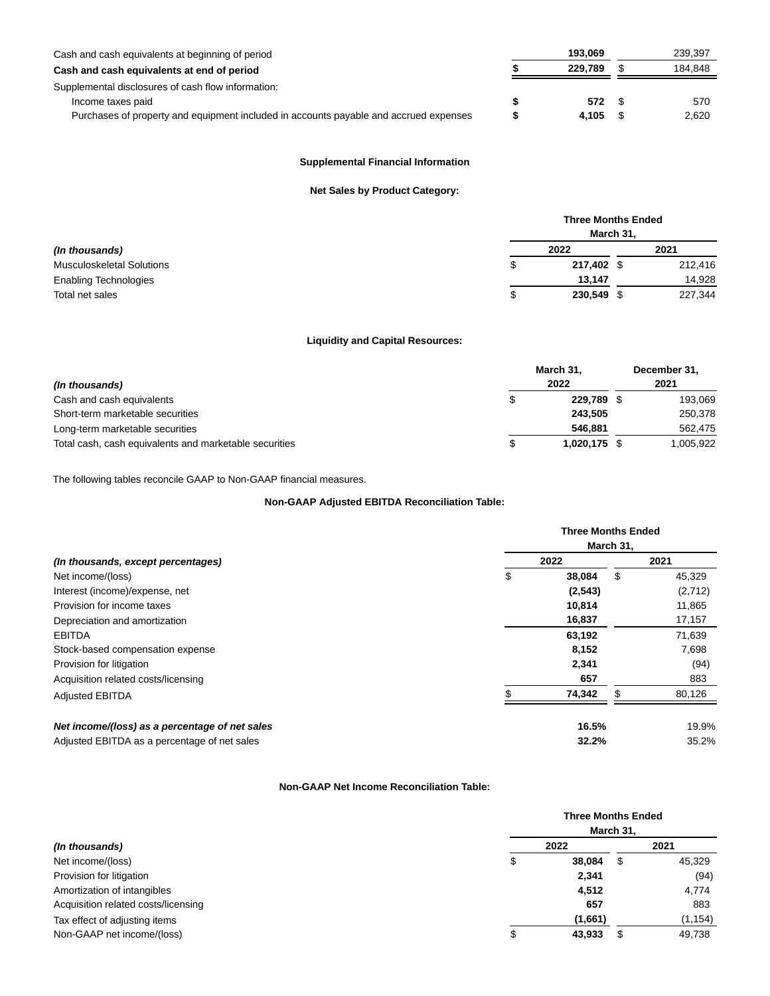| Cash and cash equivalents at beginning of period                                      |   | 193.069 | 239.397 |
|---------------------------------------------------------------------------------------|---|---------|---------|
| Cash and cash equivalents at end of period                                            |   | 229.789 | 184.848 |
| Supplemental disclosures of cash flow information:                                    |   |         |         |
| Income taxes paid                                                                     | ъ | 572     | 570     |
| Purchases of property and equipment included in accounts payable and accrued expenses |   | 4.105   | 2,620   |

# **Supplemental Financial Information**

## **Net Sales by Product Category:**

| (In thousands)<br><b>Musculoskeletal Solutions</b> | <b>Three Months Ended</b><br>March 31. |         |
|----------------------------------------------------|----------------------------------------|---------|
|                                                    | 2022                                   | 2021    |
|                                                    | \$<br>217,402 \$                       | 212,416 |
| <b>Enabling Technologies</b>                       | 13.147                                 | 14,928  |
| Total net sales                                    | \$<br>230,549 \$                       | 227,344 |

# **Liquidity and Capital Resources:**

|                                                        |      | March 31.      |      | December 31. |
|--------------------------------------------------------|------|----------------|------|--------------|
| (In thousands)                                         | 2022 |                | 2021 |              |
| Cash and cash equivalents                              | S    | 229.789 \$     |      | 193,069      |
| Short-term marketable securities                       |      | 243.505        |      | 250,378      |
| Long-term marketable securities                        |      | 546.881        |      | 562.475      |
| Total cash, cash equivalents and marketable securities | S    | $1,020,175$ \$ |      | 1.005.922    |

The following tables reconcile GAAP to Non-GAAP financial measures.

## **Non-GAAP Adjusted EBITDA Reconciliation Table:**

|                                                | <b>Three Months Ended</b><br>March 31, |    |         |  |  |
|------------------------------------------------|----------------------------------------|----|---------|--|--|
| (In thousands, except percentages)             | 2022                                   |    | 2021    |  |  |
| Net income/(loss)                              | \$<br>38,084                           | \$ | 45,329  |  |  |
| Interest (income)/expense, net                 | (2, 543)                               |    | (2,712) |  |  |
| Provision for income taxes                     | 10,814                                 |    | 11,865  |  |  |
| Depreciation and amortization                  | 16,837                                 |    | 17,157  |  |  |
| <b>EBITDA</b>                                  | 63,192                                 |    | 71,639  |  |  |
| Stock-based compensation expense               | 8,152                                  |    | 7,698   |  |  |
| Provision for litigation                       | 2,341                                  |    | (94)    |  |  |
| Acquisition related costs/licensing            | 657                                    |    | 883     |  |  |
| <b>Adjusted EBITDA</b>                         | 74,342                                 |    | 80,126  |  |  |
| Net income/(loss) as a percentage of net sales | 16.5%                                  |    | 19.9%   |  |  |
| Adjusted EBITDA as a percentage of net sales   | 32.2%                                  |    | 35.2%   |  |  |

#### **Non-GAAP Net Income Reconciliation Table:**

| (In thousands)                      | <b>Three Months Ended</b> | March 31, |          |
|-------------------------------------|---------------------------|-----------|----------|
|                                     | 2022                      |           | 2021     |
| Net income/(loss)                   | \$<br>38,084              | \$        | 45,329   |
| Provision for litigation            | 2,341                     |           | (94)     |
| Amortization of intangibles         | 4,512                     |           | 4,774    |
| Acquisition related costs/licensing | 657                       |           | 883      |
| Tax effect of adjusting items       | (1,661)                   |           | (1, 154) |
| Non-GAAP net income/(loss)          | \$<br>43,933              | S         | 49,738   |